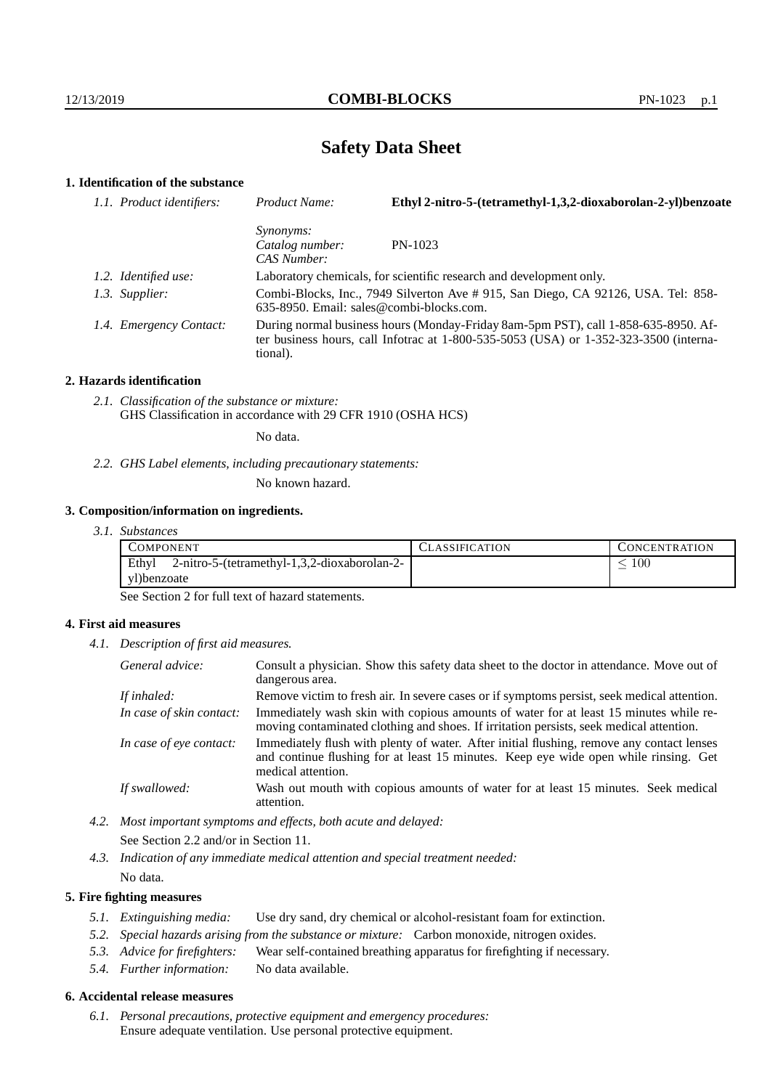# **Safety Data Sheet**

## **1. Identification of the substance**

| 1.1. Product identifiers: | Product Name:                                                     | Ethyl 2-nitro-5-(tetramethyl-1,3,2-dioxaborolan-2-yl)benzoate                                                                                                               |
|---------------------------|-------------------------------------------------------------------|-----------------------------------------------------------------------------------------------------------------------------------------------------------------------------|
|                           | <i>Synonyms:</i><br>Catalog number:<br>CAS Number:                | $PN-1023$                                                                                                                                                                   |
|                           |                                                                   | Laboratory chemicals, for scientific research and development only.                                                                                                         |
|                           | $635-8950$ . Email: sales@combi-blocks.com.                       | Combi-Blocks, Inc., 7949 Silverton Ave # 915, San Diego, CA 92126, USA. Tel: 858-                                                                                           |
|                           | tional).                                                          | During normal business hours (Monday-Friday 8am-5pm PST), call 1-858-635-8950. Af-<br>ter business hours, call Infotrac at 1-800-535-5053 (USA) or 1-352-323-3500 (interna- |
|                           | 1.2. Identified use:<br>1.3. Supplier:<br>1.4. Emergency Contact: |                                                                                                                                                                             |

#### **2. Hazards identification**

*2.1. Classification of the substance or mixture:* GHS Classification in accordance with 29 CFR 1910 (OSHA HCS)

No data.

*2.2. GHS Label elements, including precautionary statements:*

No known hazard.

#### **3. Composition/information on ingredients.**

*3.1. Substances*

| COMPONENT                                             | <b>CLASSIFICATION</b> | <b>CONCENTRATION</b> |
|-------------------------------------------------------|-----------------------|----------------------|
| Ethyl<br>2-nitro-5-(tetramethyl-1,3,2-dioxaborolan-2- |                       | 100                  |
| yl)benzoate                                           |                       |                      |

See Section 2 for full text of hazard statements.

### **4. First aid measures**

*4.1. Description of first aid measures.*

| General advice:          | Consult a physician. Show this safety data sheet to the doctor in attendance. Move out of<br>dangerous area.                                                                                            |
|--------------------------|---------------------------------------------------------------------------------------------------------------------------------------------------------------------------------------------------------|
| If inhaled:              | Remove victim to fresh air. In severe cases or if symptoms persist, seek medical attention.                                                                                                             |
| In case of skin contact: | Immediately wash skin with copious amounts of water for at least 15 minutes while re-<br>moving contaminated clothing and shoes. If irritation persists, seek medical attention.                        |
| In case of eye contact:  | Immediately flush with plenty of water. After initial flushing, remove any contact lenses<br>and continue flushing for at least 15 minutes. Keep eye wide open while rinsing. Get<br>medical attention. |
| If swallowed:            | Wash out mouth with copious amounts of water for at least 15 minutes. Seek medical<br>attention.                                                                                                        |

- *4.2. Most important symptoms and effects, both acute and delayed:* See Section 2.2 and/or in Section 11.
- *4.3. Indication of any immediate medical attention and special treatment needed:* No data.

### **5. Fire fighting measures**

- *5.1. Extinguishing media:* Use dry sand, dry chemical or alcohol-resistant foam for extinction.
- *5.2. Special hazards arising from the substance or mixture:* Carbon monoxide, nitrogen oxides.
- *5.3. Advice for firefighters:* Wear self-contained breathing apparatus for firefighting if necessary.
- *5.4. Further information:* No data available.

## **6. Accidental release measures**

*6.1. Personal precautions, protective equipment and emergency procedures:* Ensure adequate ventilation. Use personal protective equipment.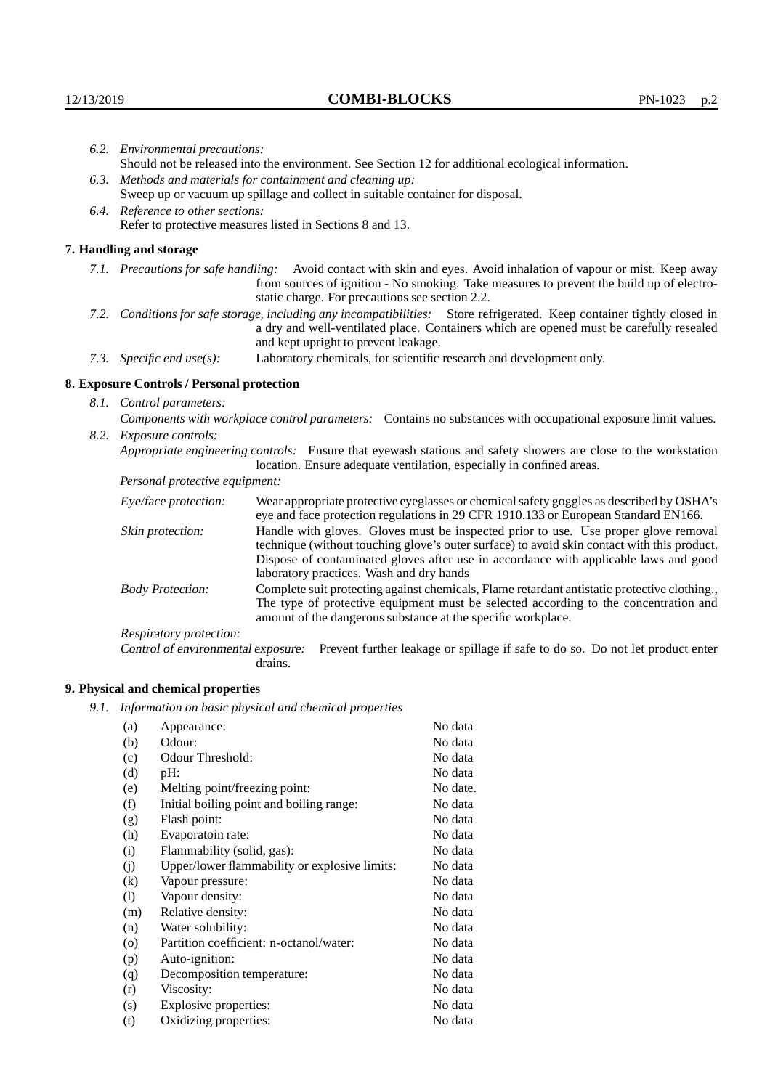|                                | 6.2. Environmental precautions:                                                                    |                                                                                                                                                                                                                                                                    |  |
|--------------------------------|----------------------------------------------------------------------------------------------------|--------------------------------------------------------------------------------------------------------------------------------------------------------------------------------------------------------------------------------------------------------------------|--|
|                                | Should not be released into the environment. See Section 12 for additional ecological information. |                                                                                                                                                                                                                                                                    |  |
|                                | 6.3. Methods and materials for containment and cleaning up:                                        |                                                                                                                                                                                                                                                                    |  |
|                                |                                                                                                    | Sweep up or vacuum up spillage and collect in suitable container for disposal.                                                                                                                                                                                     |  |
|                                | 6.4. Reference to other sections:                                                                  |                                                                                                                                                                                                                                                                    |  |
|                                |                                                                                                    | Refer to protective measures listed in Sections 8 and 13.                                                                                                                                                                                                          |  |
|                                | 7. Handling and storage                                                                            |                                                                                                                                                                                                                                                                    |  |
|                                |                                                                                                    | 7.1. Precautions for safe handling: Avoid contact with skin and eyes. Avoid inhalation of vapour or mist. Keep away<br>from sources of ignition - No smoking. Take measures to prevent the build up of electro-<br>static charge. For precautions see section 2.2. |  |
|                                |                                                                                                    | 7.2. Conditions for safe storage, including any incompatibilities: Store refrigerated. Keep container tightly closed in<br>a dry and well-ventilated place. Containers which are opened must be carefully resealed<br>and kept upright to prevent leakage.         |  |
|                                | 7.3. Specific end use(s):                                                                          | Laboratory chemicals, for scientific research and development only.                                                                                                                                                                                                |  |
|                                | 8. Exposure Controls / Personal protection                                                         |                                                                                                                                                                                                                                                                    |  |
|                                | 8.1. Control parameters:                                                                           |                                                                                                                                                                                                                                                                    |  |
|                                |                                                                                                    | Components with workplace control parameters: Contains no substances with occupational exposure limit values.                                                                                                                                                      |  |
|                                | 8.2. Exposure controls:                                                                            |                                                                                                                                                                                                                                                                    |  |
|                                |                                                                                                    | Appropriate engineering controls: Ensure that eyewash stations and safety showers are close to the workstation<br>location. Ensure adequate ventilation, especially in confined areas.                                                                             |  |
| Personal protective equipment: |                                                                                                    |                                                                                                                                                                                                                                                                    |  |
|                                | Eye/face protection:                                                                               | Wear appropriate protective eyeglasses or chemical safety goggles as described by OSHA's<br>eye and face protection regulations in 29 CFR 1910.133 or European Standard EN166.                                                                                     |  |
|                                | Skin protection:                                                                                   | Handle with gloves. Gloves must be inspected prior to use. Use proper glove removal<br>technique (without touching glove's outer surface) to avoid skin contact with this product                                                                                  |  |

| Eye/face protection:               |         | Wear appropriate protective eyeglasses or chemical safety goggles as described by OSHA's<br>eye and face protection regulations in 29 CFR 1910.133 or European Standard EN166.                                                                                                                                         |
|------------------------------------|---------|------------------------------------------------------------------------------------------------------------------------------------------------------------------------------------------------------------------------------------------------------------------------------------------------------------------------|
| Skin protection:                   |         | Handle with gloves. Gloves must be inspected prior to use. Use proper glove removal<br>technique (without touching glove's outer surface) to avoid skin contact with this product.<br>Dispose of contaminated gloves after use in accordance with applicable laws and good<br>laboratory practices. Wash and dry hands |
| <b>Body Protection:</b>            |         | Complete suit protecting against chemicals, Flame retardant antistatic protective clothing.,<br>The type of protective equipment must be selected according to the concentration and<br>amount of the dangerous substance at the specific workplace.                                                                   |
| Respiratory protection:            |         |                                                                                                                                                                                                                                                                                                                        |
| Control of environmental exposure: | drains. | Prevent further leakage or spillage if safe to do so. Do not let product enter                                                                                                                                                                                                                                         |

# **9. Physical and chemical properties**

*9.1. Information on basic physical and chemical properties*

| (a)                        | Appearance:                                   | No data  |
|----------------------------|-----------------------------------------------|----------|
| (b)                        | Odour:                                        | No data  |
| (c)                        | Odour Threshold:                              | No data  |
| (d)                        | $pH$ :                                        | No data  |
| (e)                        | Melting point/freezing point:                 | No date. |
| (f)                        | Initial boiling point and boiling range:      | No data  |
| (g)                        | Flash point:                                  | No data  |
| (h)                        | Evaporatoin rate:                             | No data  |
| (i)                        | Flammability (solid, gas):                    | No data  |
| (i)                        | Upper/lower flammability or explosive limits: | No data  |
| (k)                        | Vapour pressure:                              | No data  |
| $\left( \mathrm{l}\right)$ | Vapour density:                               | No data  |
| (m)                        | Relative density:                             | No data  |
| (n)                        | Water solubility:                             | No data  |
| $\rm (o)$                  | Partition coefficient: n-octanol/water:       | No data  |
| (p)                        | Auto-ignition:                                | No data  |
| (q)                        | Decomposition temperature:                    | No data  |
| (r)                        | Viscosity:                                    | No data  |
| (s)                        | Explosive properties:                         | No data  |
| (t)                        | Oxidizing properties:                         | No data  |